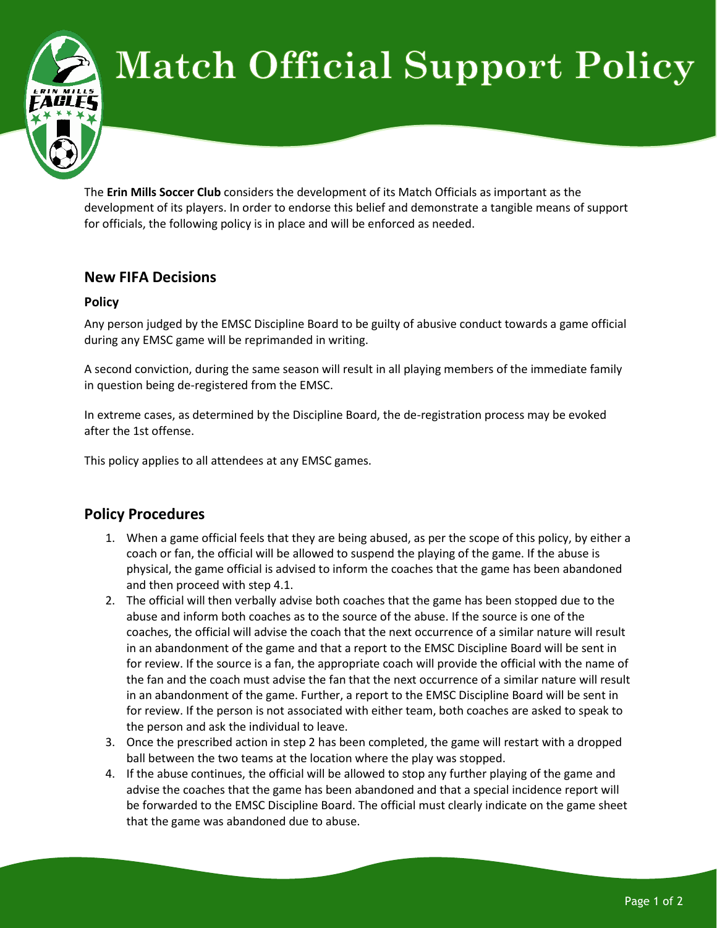

## **Match Official Support Policy**

The **Erin Mills Soccer Club** considers the development of its Match Officials as important as the development of its players. In order to endorse this belief and demonstrate a tangible means of support for officials, the following policy is in place and will be enforced as needed.

## **New FIFA Decisions**

## **Policy**

Any person judged by the EMSC Discipline Board to be guilty of abusive conduct towards a game official during any EMSC game will be reprimanded in writing.

A second conviction, during the same season will result in all playing members of the immediate family in question being de-registered from the EMSC.

In extreme cases, as determined by the Discipline Board, the de-registration process may be evoked after the 1st offense.

This policy applies to all attendees at any EMSC games.

## **Policy Procedures**

- 1. When a game official feels that they are being abused, as per the scope of this policy, by either a coach or fan, the official will be allowed to suspend the playing of the game. If the abuse is physical, the game official is advised to inform the coaches that the game has been abandoned and then proceed with step 4.1.
- 2. The official will then verbally advise both coaches that the game has been stopped due to the abuse and inform both coaches as to the source of the abuse. If the source is one of the coaches, the official will advise the coach that the next occurrence of a similar nature will result in an abandonment of the game and that a report to the EMSC Discipline Board will be sent in for review. If the source is a fan, the appropriate coach will provide the official with the name of the fan and the coach must advise the fan that the next occurrence of a similar nature will result in an abandonment of the game. Further, a report to the EMSC Discipline Board will be sent in for review. If the person is not associated with either team, both coaches are asked to speak to the person and ask the individual to leave.
- 3. Once the prescribed action in step 2 has been completed, the game will restart with a dropped ball between the two teams at the location where the play was stopped.
- 4. If the abuse continues, the official will be allowed to stop any further playing of the game and advise the coaches that the game has been abandoned and that a special incidence report will be forwarded to the EMSC Discipline Board. The official must clearly indicate on the game sheet that the game was abandoned due to abuse.